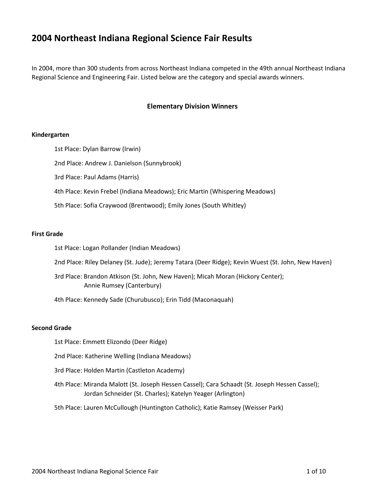# **2004 Northeast Indiana Regional Science Fair Results**

In 2004, more than 300 students from across Northeast Indiana competed in the 49th annual Northeast Indiana Regional Science and Engineering Fair. Listed below are the category and special awards winners.

# **Elementary Division Winners**

#### **Kindergarten**

1st Place: Dylan Barrow (Irwin) 2nd Place: Andrew J. Danielson (Sunnybrook) 3rd Place: Paul Adams (Harris) 4th Place: Kevin Frebel (Indiana Meadows); Eric Martin (Whispering Meadows) 5th Place: Sofia Craywood (Brentwood); Emily Jones (South Whitley)

#### **First Grade**

1st Place: Logan Pollander (Indian Meadows)

2nd Place: Riley Delaney (St. Jude); Jeremy Tatara (Deer Ridge); Kevin Wuest (St. John, New Haven)

3rd Place: Brandon Atkison (St. John, New Haven); Micah Moran (Hickory Center); Annie Rumsey (Canterbury)

4th Place: Kennedy Sade (Churubusco); Erin Tidd (Maconaquah)

#### **Second Grade**

1st Place: Emmett Elizondo (Deer Ridge)

2nd Place: Katherine Welling (Indiana Meadows)

- 3rd Place: Holden Martin (Castleton Academy)
- 4th Place: Miranda Malott (St. Joseph Hessen Cassel); Cara Schaadt (St. Joseph Hessen Cassel); Jordan Schneider (St. Charles); Katelyn Yeager (Arlington)
- 5th Place: Lauren McCullough (Huntington Catholic); Katie Ramsey (Weisser Park)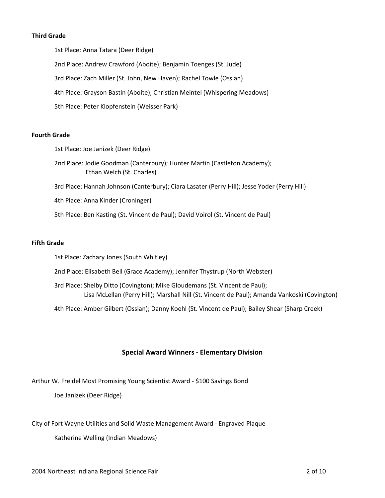#### **Third Grade**

1st Place: Anna Tatara (Deer Ridge) 2nd Place: Andrew Crawford (Aboite); Benjamin Toenges (St. Jude) 3rd Place: Zach Miller (St. John, New Haven); Rachel Towle (Ossian) 4th Place: Grayson Bastin (Aboite); Christian Meintel (Whispering Meadows) 5th Place: Peter Klopfenstein (Weisser Park)

#### **Fourth Grade**

1st Place: Joe Janizek (Deer Ridge)

2nd Place: Jodie Goodman (Canterbury); Hunter Martin (Castleton Academy); Ethan Welch (St. Charles)

3rd Place: Hannah Johnson (Canterbury); Ciara Lasater (Perry Hill); Jesse Yoder (Perry Hill)

4th Place: Anna Kinder (Croninger)

5th Place: Ben Kasting (St. Vincent de Paul); David Voirol (St. Vincent de Paul)

#### **Fifth Grade**

1st Place: Zachary Jones (South Whitley)

2nd Place: Elisabeth Bell (Grace Academy); Jennifer Thystrup (North Webster)

3rd Place: Shelby Ditto (Covington); Mike Gloudemans (St. Vincent de Paul); Lisa McLellan (Perry Hill); Marshall Nill (St. Vincent de Paul); Amanda Vankoski (Covington)

4th Place: Amber Gilbert (Ossian); Danny Koehl (St. Vincent de Paul); Bailey Shear (Sharp Creek)

# **Special Award Winners - Elementary Division**

Arthur W. Freidel Most Promising Young Scientist Award - \$100 Savings Bond

Joe Janizek (Deer Ridge)

City of Fort Wayne Utilities and Solid Waste Management Award - Engraved Plaque

Katherine Welling (Indian Meadows)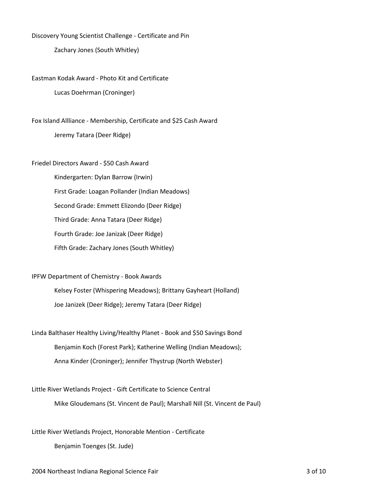Discovery Young Scientist Challenge - Certificate and Pin

Zachary Jones (South Whitley)

Eastman Kodak Award - Photo Kit and Certificate Lucas Doehrman (Croninger)

Fox Island Allliance - Membership, Certificate and \$25 Cash Award Jeremy Tatara (Deer Ridge)

Friedel Directors Award - \$50 Cash Award Kindergarten: Dylan Barrow (Irwin) First Grade: Loagan Pollander (Indian Meadows) Second Grade: Emmett Elizondo (Deer Ridge) Third Grade: Anna Tatara (Deer Ridge) Fourth Grade: Joe Janizak (Deer Ridge) Fifth Grade: Zachary Jones (South Whitley)

IPFW Department of Chemistry - Book Awards Kelsey Foster (Whispering Meadows); Brittany Gayheart (Holland) Joe Janizek (Deer Ridge); Jeremy Tatara (Deer Ridge)

Linda Balthaser Healthy Living/Healthy Planet - Book and \$50 Savings Bond Benjamin Koch (Forest Park); Katherine Welling (Indian Meadows); Anna Kinder (Croninger); Jennifer Thystrup (North Webster)

Little River Wetlands Project - Gift Certificate to Science Central Mike Gloudemans (St. Vincent de Paul); Marshall Nill (St. Vincent de Paul)

Little River Wetlands Project, Honorable Mention - Certificate Benjamin Toenges (St. Jude)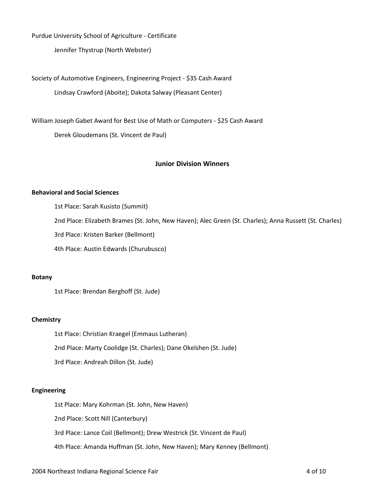Purdue University School of Agriculture - Certificate

Jennifer Thystrup (North Webster)

Society of Automotive Engineers, Engineering Project - \$35 Cash Award Lindsay Crawford (Aboite); Dakota Salway (Pleasant Center)

William Joseph Gabet Award for Best Use of Math or Computers - \$25 Cash Award Derek Gloudemans (St. Vincent de Paul)

# **Junior Division Winners**

#### **Behavioral and Social Sciences**

1st Place: Sarah Kusisto (Summit) 2nd Place: Elizabeth Brames (St. John, New Haven); Alec Green (St. Charles); Anna Russett (St. Charles) 3rd Place: Kristen Barker (Bellmont) 4th Place: Austin Edwards (Churubusco)

### **Botany**

1st Place: Brendan Berghoff (St. Jude)

# **Chemistry**

1st Place: Christian Kraegel (Emmaus Lutheran) 2nd Place: Marty Coolidge (St. Charles); Dane Okelshen (St. Jude) 3rd Place: Andreah Dillon (St. Jude)

#### **Engineering**

1st Place: Mary Kohrman (St. John, New Haven)

2nd Place: Scott Nill (Canterbury)

3rd Place: Lance Coil (Bellmont); Drew Westrick (St. Vincent de Paul)

4th Place: Amanda Huffman (St. John, New Haven); Mary Kenney (Bellmont)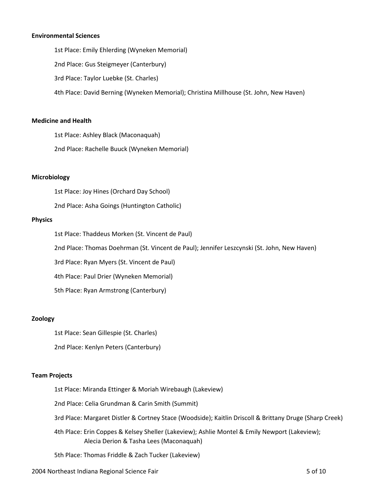#### **Environmental Sciences**

1st Place: Emily Ehlerding (Wyneken Memorial) 2nd Place: Gus Steigmeyer (Canterbury) 3rd Place: Taylor Luebke (St. Charles) 4th Place: David Berning (Wyneken Memorial); Christina Millhouse (St. John, New Haven)

#### **Medicine and Health**

1st Place: Ashley Black (Maconaquah)

2nd Place: Rachelle Buuck (Wyneken Memorial)

#### **Microbiology**

1st Place: Joy Hines (Orchard Day School)

2nd Place: Asha Goings (Huntington Catholic)

#### **Physics**

1st Place: Thaddeus Morken (St. Vincent de Paul)

2nd Place: Thomas Doehrman (St. Vincent de Paul); Jennifer Leszcynski (St. John, New Haven)

3rd Place: Ryan Myers (St. Vincent de Paul)

4th Place: Paul Drier (Wyneken Memorial)

5th Place: Ryan Armstrong (Canterbury)

#### **Zoology**

1st Place: Sean Gillespie (St. Charles)

2nd Place: Kenlyn Peters (Canterbury)

#### **Team Projects**

1st Place: Miranda Ettinger & Moriah Wirebaugh (Lakeview)

2nd Place: Celia Grundman & Carin Smith (Summit)

3rd Place: Margaret Distler & Cortney Stace (Woodside); Kaitlin Driscoll & Brittany Druge (Sharp Creek)

4th Place: Erin Coppes & Kelsey Sheller (Lakeview); Ashlie Montel & Emily Newport (Lakeview); Alecia Derion & Tasha Lees (Maconaquah)

5th Place: Thomas Friddle & Zach Tucker (Lakeview)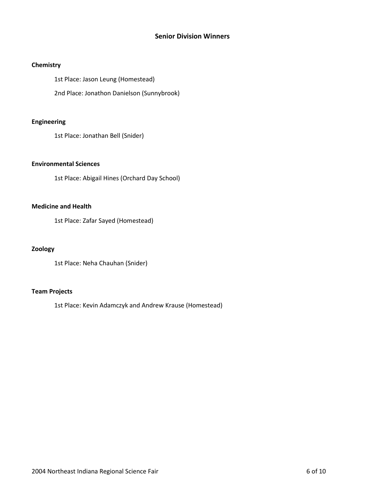# **Senior Division Winners**

### **Chemistry**

1st Place: Jason Leung (Homestead)

2nd Place: Jonathon Danielson (Sunnybrook)

# **Engineering**

1st Place: Jonathan Bell (Snider)

# **Environmental Sciences**

1st Place: Abigail Hines (Orchard Day School)

## **Medicine and Health**

1st Place: Zafar Sayed (Homestead)

## **Zoology**

1st Place: Neha Chauhan (Snider)

# **Team Projects**

1st Place: Kevin Adamczyk and Andrew Krause (Homestead)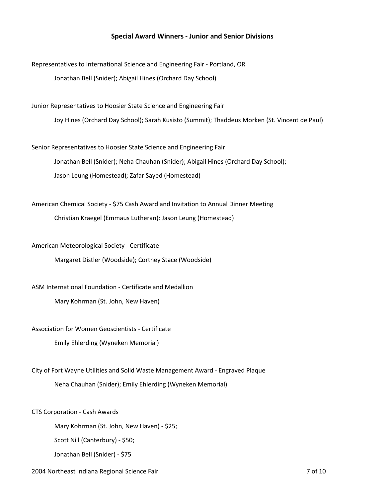# **Special Award Winners - Junior and Senior Divisions**

Representatives to International Science and Engineering Fair - Portland, OR Jonathan Bell (Snider); Abigail Hines (Orchard Day School)

Junior Representatives to Hoosier State Science and Engineering Fair Joy Hines (Orchard Day School); Sarah Kusisto (Summit); Thaddeus Morken (St. Vincent de Paul)

Senior Representatives to Hoosier State Science and Engineering Fair Jonathan Bell (Snider); Neha Chauhan (Snider); Abigail Hines (Orchard Day School); Jason Leung (Homestead); Zafar Sayed (Homestead)

American Chemical Society - \$75 Cash Award and Invitation to Annual Dinner Meeting Christian Kraegel (Emmaus Lutheran): Jason Leung (Homestead)

American Meteorological Society - Certificate

Margaret Distler (Woodside); Cortney Stace (Woodside)

ASM International Foundation - Certificate and Medallion

Mary Kohrman (St. John, New Haven)

Association for Women Geoscientists - Certificate

Emily Ehlerding (Wyneken Memorial)

City of Fort Wayne Utilities and Solid Waste Management Award - Engraved Plaque

Neha Chauhan (Snider); Emily Ehlerding (Wyneken Memorial)

CTS Corporation - Cash Awards

Mary Kohrman (St. John, New Haven) - \$25;

Scott Nill (Canterbury) - \$50;

Jonathan Bell (Snider) - \$75

2004 Northeast Indiana Regional Science Fair 7 of 10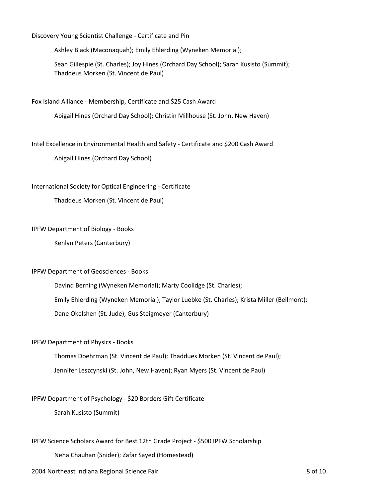Discovery Young Scientist Challenge - Certificate and Pin

Ashley Black (Maconaquah); Emily Ehlerding (Wyneken Memorial);

Sean Gillespie (St. Charles); Joy Hines (Orchard Day School); Sarah Kusisto (Summit); Thaddeus Morken (St. Vincent de Paul)

Fox Island Alliance - Membership, Certificate and \$25 Cash Award

Abigail Hines (Orchard Day School); Christin Millhouse (St. John, New Haven)

Intel Excellence in Environmental Health and Safety - Certificate and \$200 Cash Award

Abigail Hines (Orchard Day School)

International Society for Optical Engineering - Certificate

Thaddeus Morken (St. Vincent de Paul)

#### IPFW Department of Biology - Books

Kenlyn Peters (Canterbury)

#### IPFW Department of Geosciences - Books

Davind Berning (Wyneken Memorial); Marty Coolidge (St. Charles); Emily Ehlerding (Wyneken Memorial); Taylor Luebke (St. Charles); Krista Miller (Bellmont); Dane Okelshen (St. Jude); Gus Steigmeyer (Canterbury)

#### IPFW Department of Physics - Books

Thomas Doehrman (St. Vincent de Paul); Thaddues Morken (St. Vincent de Paul); Jennifer Leszcynski (St. John, New Haven); Ryan Myers (St. Vincent de Paul)

#### IPFW Department of Psychology - \$20 Borders Gift Certificate

Sarah Kusisto (Summit)

#### IPFW Science Scholars Award for Best 12th Grade Project - \$500 IPFW Scholarship

Neha Chauhan (Snider); Zafar Sayed (Homestead)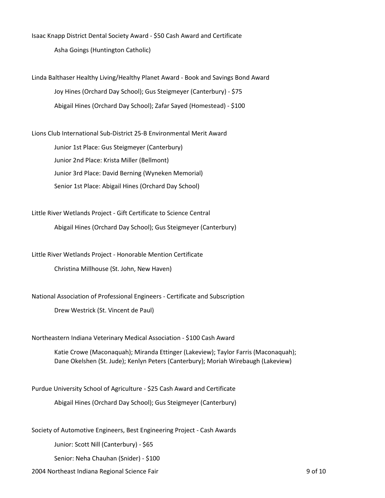Isaac Knapp District Dental Society Award - \$50 Cash Award and Certificate Asha Goings (Huntington Catholic)

Linda Balthaser Healthy Living/Healthy Planet Award - Book and Savings Bond Award Joy Hines (Orchard Day School); Gus Steigmeyer (Canterbury) - \$75 Abigail Hines (Orchard Day School); Zafar Sayed (Homestead) - \$100

Lions Club International Sub-District 25-B Environmental Merit Award Junior 1st Place: Gus Steigmeyer (Canterbury) Junior 2nd Place: Krista Miller (Bellmont) Junior 3rd Place: David Berning (Wyneken Memorial) Senior 1st Place: Abigail Hines (Orchard Day School)

Little River Wetlands Project - Gift Certificate to Science Central Abigail Hines (Orchard Day School); Gus Steigmeyer (Canterbury)

Little River Wetlands Project - Honorable Mention Certificate Christina Millhouse (St. John, New Haven)

National Association of Professional Engineers - Certificate and Subscription

Drew Westrick (St. Vincent de Paul)

Northeastern Indiana Veterinary Medical Association - \$100 Cash Award

Katie Crowe (Maconaquah); Miranda Ettinger (Lakeview); Taylor Farris (Maconaquah); Dane Okelshen (St. Jude); Kenlyn Peters (Canterbury); Moriah Wirebaugh (Lakeview)

Purdue University School of Agriculture - \$25 Cash Award and Certificate Abigail Hines (Orchard Day School); Gus Steigmeyer (Canterbury)

Society of Automotive Engineers, Best Engineering Project - Cash Awards

Junior: Scott Nill (Canterbury) - \$65

Senior: Neha Chauhan (Snider) - \$100

2004 Northeast Indiana Regional Science Fair 9 of 10